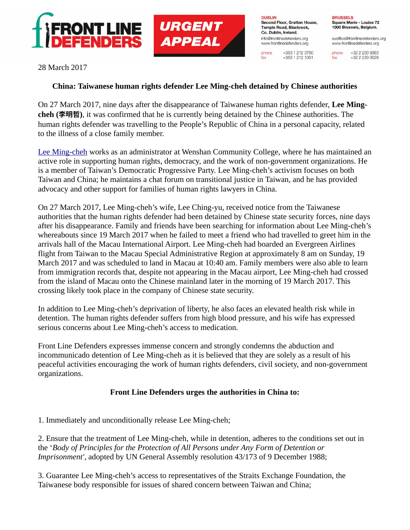

**DUBLIN** Second Floor, Grattan House, Temple Road, Blackrock. Co. Dublin, Ireland. info@frontlinedefenders.org www.frontlinedefenders.org

phone

fax

+353 1 212 3750

 $+353$  1 212 1001

**BRUSSELS** Square Marie - Louise 72 1000 Brussels, Belgium.

euoffice@frontlinedefenders.org www.frontlinedefenders.org

+32 2 230 9383 phone +32 2 230 0028 fax

28 March 2017

## **China: Taiwanese human rights defender Lee Ming-cheh detained by Chinese authorities**

**URGENT** 

**APPEAL** 

On 27 March 2017, nine days after the disappearance of Taiwanese human rights defender, **Lee Mingcheh (李明哲)**, it was confirmed that he is currently being detained by the Chinese authorities. The human rights defender was travelling to the People's Republic of China in a personal capacity, related to the illness of a close family member.

[Lee Ming-cheh](https://www.frontlinedefenders.org/en/profile/lee-ming-cheh) works as an administrator at Wenshan Community College, where he has maintained an active role in supporting human rights, democracy, and the work of non-government organizations. He is a member of Taiwan's Democratic Progressive Party. Lee Ming-cheh's activism focuses on both Taiwan and China; he maintains a chat forum on transitional justice in Taiwan, and he has provided advocacy and other support for families of human rights lawyers in China.

On 27 March 2017, Lee Ming-cheh's wife, Lee Ching-yu, received notice from the Taiwanese authorities that the human rights defender had been detained by Chinese state security forces, nine days after his disappearance. Family and friends have been searching for information about Lee Ming-cheh's whereabouts since 19 March 2017 when he failed to meet a friend who had travelled to greet him in the arrivals hall of the Macau International Airport. Lee Ming-cheh had boarded an Evergreen Airlines flight from Taiwan to the Macau Special Administrative Region at approximately 8 am on Sunday, 19 March 2017 and was scheduled to land in Macau at 10:40 am. Family members were also able to learn from immigration records that, despite not appearing in the Macau airport, Lee Ming-cheh had crossed from the island of Macau onto the Chinese mainland later in the morning of 19 March 2017. This crossing likely took place in the company of Chinese state security.

In addition to Lee Ming-cheh's deprivation of liberty, he also faces an elevated health risk while in detention. The human rights defender suffers from high blood pressure, and his wife has expressed serious concerns about Lee Ming-cheh's access to medication.

Front Line Defenders expresses immense concern and strongly condemns the abduction and incommunicado detention of Lee Ming-cheh as it is believed that they are solely as a result of his peaceful activities encouraging the work of human rights defenders, civil society, and non-government organizations.

## **Front Line Defenders urges the authorities in China to:**

1. Immediately and unconditionally release Lee Ming-cheh;

2. Ensure that the treatment of Lee Ming-cheh, while in detention, adheres to the conditions set out in the '*Body of Principles for the Protection of All Persons under Any Form of Detention or Imprisonment'*, adopted by UN General Assembly resolution 43/173 of 9 December 1988;

3. Guarantee Lee Ming-cheh's access to representatives of the Straits Exchange Foundation, the Taiwanese body responsible for issues of shared concern between Taiwan and China;